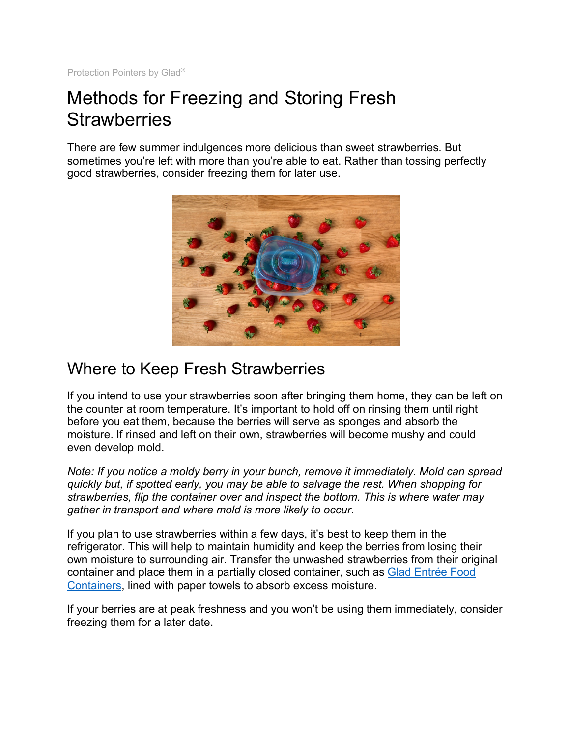Protection Pointers by Glad®

## Methods for Freezing and Storing Fresh **Strawberries**

There are few summer indulgences more delicious than sweet strawberries. But sometimes you're left with more than you're able to eat. Rather than tossing perfectly good strawberries, consider freezing them for later use.



## Where to Keep Fresh Strawberries

If you intend to use your strawberries soon after bringing them home, they can be left on the counter at room temperature. It's important to hold off on rinsing them until right before you eat them, because the berries will serve as sponges and absorb the moisture. If rinsed and left on their own, strawberries will become mushy and could even develop mold.

*Note: If you notice a moldy berry in your bunch, remove it immediately. Mold can spread quickly but, if spotted early, you may be able to salvage the rest. When shopping for strawberries, flip the container over and inspect the bottom. This is where water may gather in transport and where mold is more likely to occur.*

If you plan to use strawberries within a few days, it's best to keep them in the refrigerator. This will help to maintain humidity and keep the berries from losing their own moisture to surrounding air. Transfer the unwashed strawberries from their original container and place them in a partially closed container, such as Glad Entrée Food Containers, lined with paper towels to absorb excess moisture.

If your berries are at peak freshness and you won't be using them immediately, consider freezing them for a later date.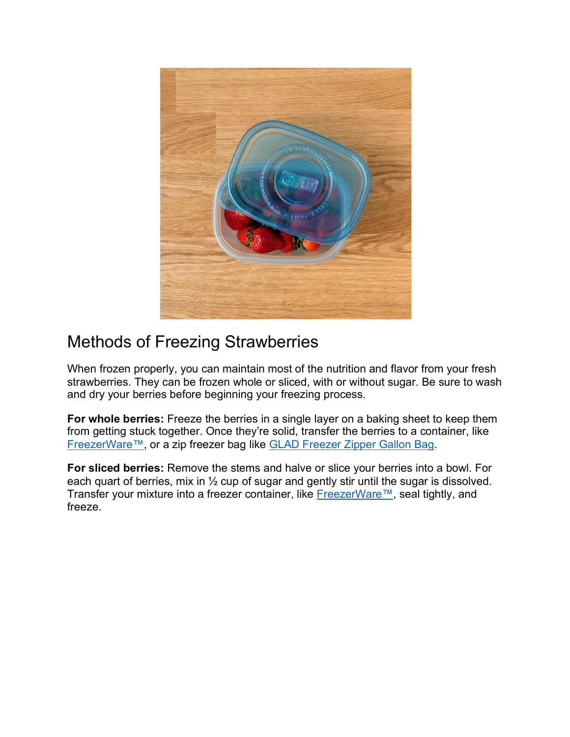

## Methods of Freezing Strawberries

When frozen properly, you can maintain most of the nutrition and flavor from your fresh strawberries. They can be frozen whole or sliced, with or without sugar. Be sure to wash and dry your berries before beginning your freezing process.

**For whole berries:** Freeze the berries in a single layer on a baking sheet to keep them from getting stuck together. Once they're solid, transfer the berries to a container, like FreezerWare™, or a zip freezer bag like GLAD Freezer Zipper Gallon Bag.

**For sliced berries:** Remove the stems and halve or slice your berries into a bowl. For each quart of berries, mix in ½ cup of sugar and gently stir until the sugar is dissolved. Transfer your mixture into a freezer container, like FreezerWare™, seal tightly, and freeze.